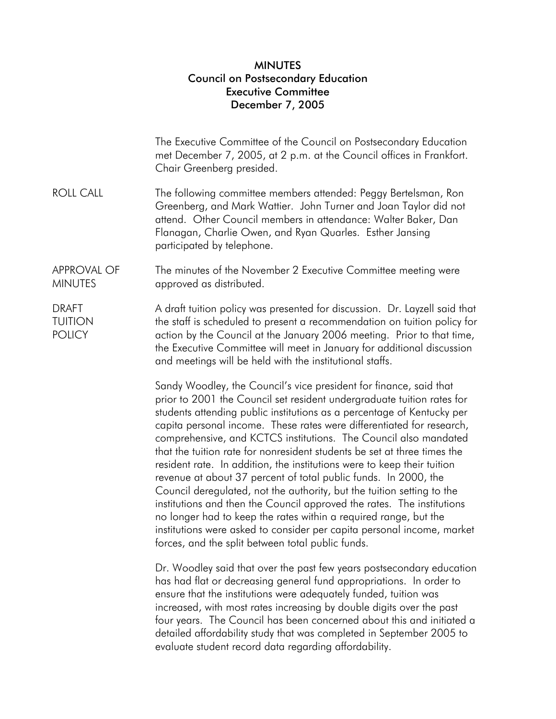## **MINUTES** Council on Postsecondary Education Executive Committee December 7, 2005

|                                                 | The Executive Committee of the Council on Postsecondary Education<br>met December 7, 2005, at 2 p.m. at the Council offices in Frankfort.<br>Chair Greenberg presided.                                                                                                                                                                                                                                                                                                                                                                                                                                                                                                                                                                                                                                                                                                                                                                                                                                                                                                                              |
|-------------------------------------------------|-----------------------------------------------------------------------------------------------------------------------------------------------------------------------------------------------------------------------------------------------------------------------------------------------------------------------------------------------------------------------------------------------------------------------------------------------------------------------------------------------------------------------------------------------------------------------------------------------------------------------------------------------------------------------------------------------------------------------------------------------------------------------------------------------------------------------------------------------------------------------------------------------------------------------------------------------------------------------------------------------------------------------------------------------------------------------------------------------------|
| <b>ROLL CALL</b>                                | The following committee members attended: Peggy Bertelsman, Ron<br>Greenberg, and Mark Wattier. John Turner and Joan Taylor did not<br>attend. Other Council members in attendance: Walter Baker, Dan<br>Flanagan, Charlie Owen, and Ryan Quarles. Esther Jansing<br>participated by telephone.                                                                                                                                                                                                                                                                                                                                                                                                                                                                                                                                                                                                                                                                                                                                                                                                     |
| <b>APPROVAL OF</b><br><b>MINUTES</b>            | The minutes of the November 2 Executive Committee meeting were<br>approved as distributed.                                                                                                                                                                                                                                                                                                                                                                                                                                                                                                                                                                                                                                                                                                                                                                                                                                                                                                                                                                                                          |
| <b>DRAFT</b><br><b>TUITION</b><br><b>POLICY</b> | A draft tuition policy was presented for discussion. Dr. Layzell said that<br>the staff is scheduled to present a recommendation on tuition policy for<br>action by the Council at the January 2006 meeting. Prior to that time,<br>the Executive Committee will meet in January for additional discussion<br>and meetings will be held with the institutional staffs.                                                                                                                                                                                                                                                                                                                                                                                                                                                                                                                                                                                                                                                                                                                              |
|                                                 | Sandy Woodley, the Council's vice president for finance, said that<br>prior to 2001 the Council set resident undergraduate tuition rates for<br>students attending public institutions as a percentage of Kentucky per<br>capita personal income. These rates were differentiated for research,<br>comprehensive, and KCTCS institutions. The Council also mandated<br>that the tuition rate for nonresident students be set at three times the<br>resident rate. In addition, the institutions were to keep their tuition<br>revenue at about 37 percent of total public funds. In 2000, the<br>Council deregulated, not the authority, but the tuition setting to the<br>institutions and then the Council approved the rates. The institutions<br>no longer had to keep the rates within a required range, but the<br>institutions were asked to consider per capita personal income, market<br>forces, and the split between total public funds.<br>Dr. Woodley said that over the past few years postsecondary education<br>has had flat or decreasing general fund appropriations ln order to |

has had flat or decreasing general fund appropriations. In order to ensure that the institutions were adequately funded, tuition was increased, with most rates increasing by double digits over the past four years. The Council has been concerned about this and initiated a detailed affordability study that was completed in September 2005 to evaluate student record data regarding affordability.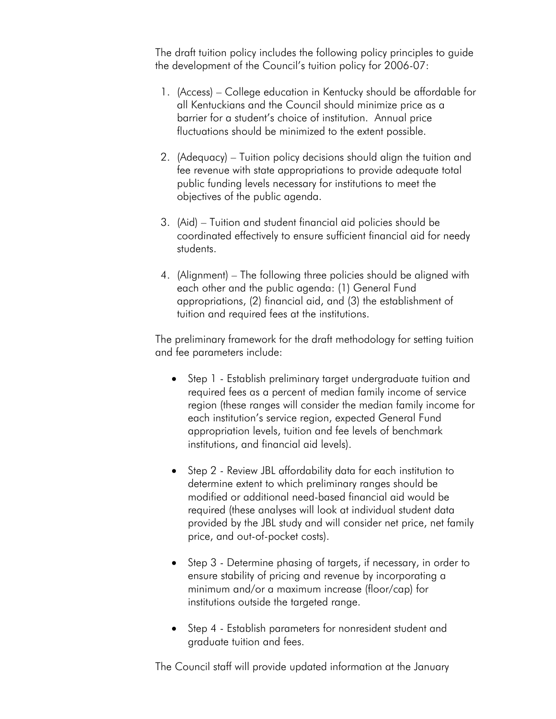The draft tuition policy includes the following policy principles to guide the development of the Council's tuition policy for 2006-07:

- 1. (Access) College education in Kentucky should be affordable for all Kentuckians and the Council should minimize price as a barrier for a student's choice of institution. Annual price fluctuations should be minimized to the extent possible.
- 2. (Adequacy) Tuition policy decisions should align the tuition and fee revenue with state appropriations to provide adequate total public funding levels necessary for institutions to meet the objectives of the public agenda.
- 3. (Aid) Tuition and student financial aid policies should be coordinated effectively to ensure sufficient financial aid for needy students.
- 4. (Alignment) The following three policies should be aligned with each other and the public agenda: (1) General Fund appropriations, (2) financial aid, and (3) the establishment of tuition and required fees at the institutions.

The preliminary framework for the draft methodology for setting tuition and fee parameters include:

- Step 1 Establish preliminary target undergraduate tuition and required fees as a percent of median family income of service region (these ranges will consider the median family income for each institution's service region, expected General Fund appropriation levels, tuition and fee levels of benchmark institutions, and financial aid levels).
- Step 2 Review JBL affordability data for each institution to determine extent to which preliminary ranges should be modified or additional need-based financial aid would be required (these analyses will look at individual student data provided by the JBL study and will consider net price, net family price, and out-of-pocket costs).
- Step 3 Determine phasing of targets, if necessary, in order to ensure stability of pricing and revenue by incorporating a minimum and/or a maximum increase (floor/cap) for institutions outside the targeted range.
- Step 4 Establish parameters for nonresident student and graduate tuition and fees.

The Council staff will provide updated information at the January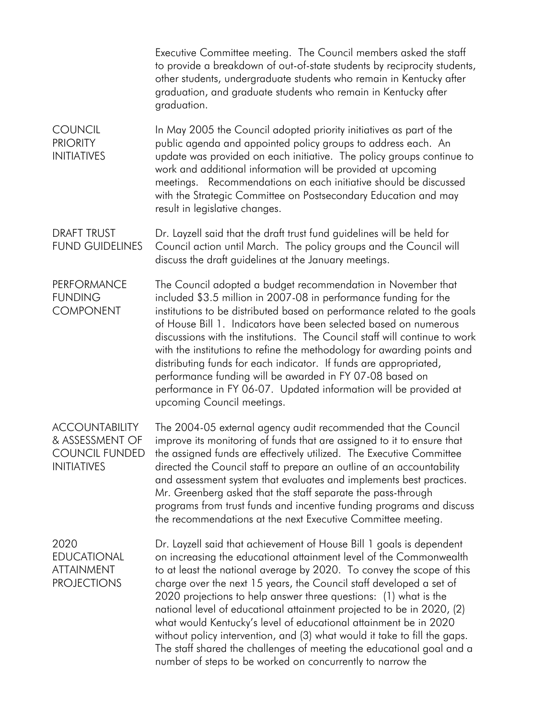|                                                                                         | Executive Committee meeting. The Council members asked the staff<br>to provide a breakdown of out-of-state students by reciprocity students,<br>other students, undergraduate students who remain in Kentucky after<br>graduation, and graduate students who remain in Kentucky after<br>graduation.                                                                                                                                                                                                                                                                                                                                                                                                                            |
|-----------------------------------------------------------------------------------------|---------------------------------------------------------------------------------------------------------------------------------------------------------------------------------------------------------------------------------------------------------------------------------------------------------------------------------------------------------------------------------------------------------------------------------------------------------------------------------------------------------------------------------------------------------------------------------------------------------------------------------------------------------------------------------------------------------------------------------|
| <b>COUNCIL</b><br><b>PRIORITY</b><br><b>INITIATIVES</b>                                 | In May 2005 the Council adopted priority initiatives as part of the<br>public agenda and appointed policy groups to address each. An<br>update was provided on each initiative. The policy groups continue to<br>work and additional information will be provided at upcoming<br>meetings. Recommendations on each initiative should be discussed<br>with the Strategic Committee on Postsecondary Education and may<br>result in legislative changes.                                                                                                                                                                                                                                                                          |
| <b>DRAFT TRUST</b><br><b>FUND GUIDELINES</b>                                            | Dr. Layzell said that the draft trust fund guidelines will be held for<br>Council action until March. The policy groups and the Council will<br>discuss the draft guidelines at the January meetings.                                                                                                                                                                                                                                                                                                                                                                                                                                                                                                                           |
| <b>PERFORMANCE</b><br><b>FUNDING</b><br><b>COMPONENT</b>                                | The Council adopted a budget recommendation in November that<br>included \$3.5 million in 2007-08 in performance funding for the<br>institutions to be distributed based on performance related to the goals<br>of House Bill 1. Indicators have been selected based on numerous<br>discussions with the institutions. The Council staff will continue to work<br>with the institutions to refine the methodology for awarding points and<br>distributing funds for each indicator. If funds are appropriated,<br>performance funding will be awarded in FY 07-08 based on<br>performance in FY 06-07. Updated information will be provided at<br>upcoming Council meetings.                                                    |
| <b>ACCOUNTABILITY</b><br>& ASSESSMENT OF<br><b>COUNCIL FUNDED</b><br><b>INITIATIVES</b> | The 2004-05 external agency audit recommended that the Council<br>improve its monitoring of funds that are assigned to it to ensure that<br>the assigned funds are effectively utilized. The Executive Committee<br>directed the Council staff to prepare an outline of an accountability<br>and assessment system that evaluates and implements best practices.<br>Mr. Greenberg asked that the staff separate the pass-through<br>programs from trust funds and incentive funding programs and discuss<br>the recommendations at the next Executive Committee meeting.                                                                                                                                                        |
| 2020<br><b>EDUCATIONAL</b><br><b>ATTAINMENT</b><br><b>PROJECTIONS</b>                   | Dr. Layzell said that achievement of House Bill 1 goals is dependent<br>on increasing the educational attainment level of the Commonwealth<br>to at least the national average by 2020. To convey the scope of this<br>charge over the next 15 years, the Council staff developed a set of<br>2020 projections to help answer three questions: (1) what is the<br>national level of educational attainment projected to be in 2020, (2)<br>what would Kentucky's level of educational attainment be in 2020<br>without policy intervention, and (3) what would it take to fill the gaps.<br>The staff shared the challenges of meeting the educational goal and a<br>number of steps to be worked on concurrently to narrow the |